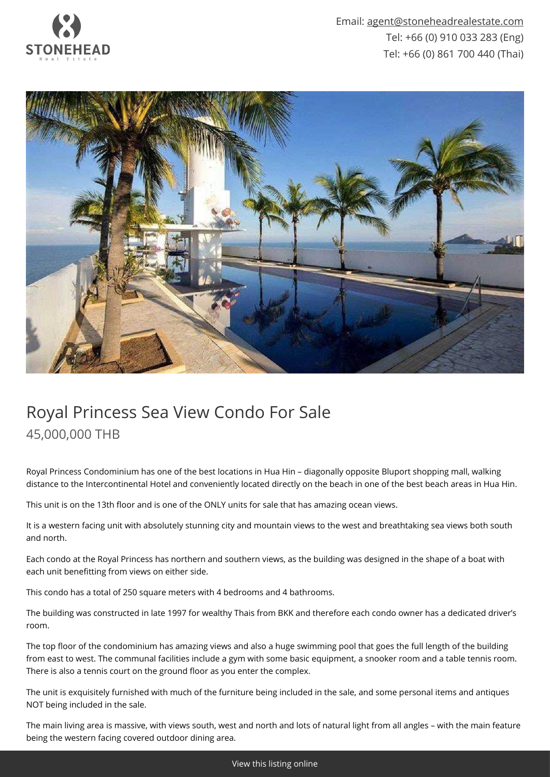

Email: [agent@stoneheadrealestate.com](mailto:agent@stoneheadrealestate.com) Tel: +66 (0) 910 033 283 (Eng) Tel: +66 (0) 861 700 440 (Thai)



## Royal Princess Sea View Condo For Sale 45,000,000 THB

Royal Princess Condominium has one of the best locations in Hua Hin – diagonally opposite Bluport shopping mall, walking distance to the Intercontinental Hotel and conveniently located directly on the beach in one of the best beach areas in Hua Hin.

This unit is on the 13th floor and is one of the ONLY units for sale that has amazing ocean views.

It is a western facing unit with absolutely stunning city and mountain views to the west and breathtaking sea views both south and north.

Each condo at the Royal Princess has northern and southern views, as the building was designed in the shape of a boat with each unit benefitting from views on either side.

This condo has a total of 250 square meters with 4 bedrooms and 4 bathrooms.

The building was constructed in late 1997 for wealthy Thais from BKK and therefore each condo owner has a dedicated driver's room.

The top floor of the condominium has amazing views and also a huge swimming pool that goes the full length of the building from east to west. The communal facilities include a gym with some basic equipment, a snooker room and a table tennis room. There is also a tennis court on the ground floor as you enter the complex.

The unit is exquisitely furnished with much of the furniture being included in the sale, and some personal items and antiques NOT being included in the sale.

The main living area is massive, with views south, west and north and lots of natural light from all angles – with the main feature being the western facing covered outdoor dining area.

[View this listing online](https://www.stoneheadrealestate.com/properties/royal-princess-sea-view-condo-for-sale/)